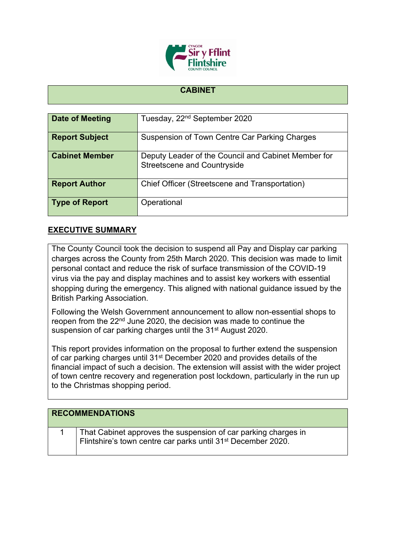

## **CABINET**

| Date of Meeting       | Tuesday, 22 <sup>nd</sup> September 2020                                                  |
|-----------------------|-------------------------------------------------------------------------------------------|
| <b>Report Subject</b> | Suspension of Town Centre Car Parking Charges                                             |
| <b>Cabinet Member</b> | Deputy Leader of the Council and Cabinet Member for<br><b>Streetscene and Countryside</b> |
| <b>Report Author</b>  | Chief Officer (Streetscene and Transportation)                                            |
| <b>Type of Report</b> | Operational                                                                               |

## **EXECUTIVE SUMMARY**

The County Council took the decision to suspend all Pay and Display car parking charges across the County from 25th March 2020. This decision was made to limit personal contact and reduce the risk of surface transmission of the COVID-19 virus via the pay and display machines and to assist key workers with essential shopping during the emergency. This aligned with national guidance issued by the British Parking Association.

Following the Welsh Government announcement to allow non-essential shops to reopen from the 22nd June 2020, the decision was made to continue the suspension of car parking charges until the 31<sup>st</sup> August 2020.

This report provides information on the proposal to further extend the suspension of car parking charges until 31st December 2020 and provides details of the financial impact of such a decision. The extension will assist with the wider project of town centre recovery and regeneration post lockdown, particularly in the run up to the Christmas shopping period.

| <b>RECOMMENDATIONS</b>                                                                                                                     |
|--------------------------------------------------------------------------------------------------------------------------------------------|
| That Cabinet approves the suspension of car parking charges in<br>Flintshire's town centre car parks until 31 <sup>st</sup> December 2020. |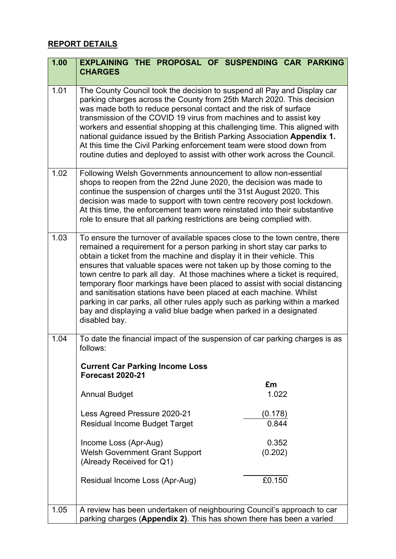## **REPORT DETAILS**

| 1.00 | EXPLAINING THE PROPOSAL OF SUSPENDING CAR PARKING<br><b>CHARGES</b>                                                                                                                                                                                                                                                                                                                                                                                                                                                                                                                                                                                                                                            |
|------|----------------------------------------------------------------------------------------------------------------------------------------------------------------------------------------------------------------------------------------------------------------------------------------------------------------------------------------------------------------------------------------------------------------------------------------------------------------------------------------------------------------------------------------------------------------------------------------------------------------------------------------------------------------------------------------------------------------|
|      |                                                                                                                                                                                                                                                                                                                                                                                                                                                                                                                                                                                                                                                                                                                |
| 1.01 | The County Council took the decision to suspend all Pay and Display car<br>parking charges across the County from 25th March 2020. This decision<br>was made both to reduce personal contact and the risk of surface<br>transmission of the COVID 19 virus from machines and to assist key<br>workers and essential shopping at this challenging time. This aligned with<br>national guidance issued by the British Parking Association Appendix 1.<br>At this time the Civil Parking enforcement team were stood down from<br>routine duties and deployed to assist with other work across the Council.                                                                                                       |
| 1.02 | Following Welsh Governments announcement to allow non-essential<br>shops to reopen from the 22nd June 2020, the decision was made to<br>continue the suspension of charges until the 31st August 2020. This<br>decision was made to support with town centre recovery post lockdown.<br>At this time, the enforcement team were reinstated into their substantive<br>role to ensure that all parking restrictions are being complied with.                                                                                                                                                                                                                                                                     |
| 1.03 | To ensure the turnover of available spaces close to the town centre, there<br>remained a requirement for a person parking in short stay car parks to<br>obtain a ticket from the machine and display it in their vehicle. This<br>ensures that valuable spaces were not taken up by those coming to the<br>town centre to park all day. At those machines where a ticket is required,<br>temporary floor markings have been placed to assist with social distancing<br>and sanitisation stations have been placed at each machine. Whilst<br>parking in car parks, all other rules apply such as parking within a marked<br>bay and displaying a valid blue badge when parked in a designated<br>disabled bay. |
| 1.04 | To date the financial impact of the suspension of car parking charges is as<br>follows:<br><b>Current Car Parking Income Loss</b>                                                                                                                                                                                                                                                                                                                                                                                                                                                                                                                                                                              |
|      | <b>Forecast 2020-21</b>                                                                                                                                                                                                                                                                                                                                                                                                                                                                                                                                                                                                                                                                                        |
|      | £m<br>1.022<br><b>Annual Budget</b>                                                                                                                                                                                                                                                                                                                                                                                                                                                                                                                                                                                                                                                                            |
|      | Less Agreed Pressure 2020-21<br>(0.178)<br>0.844<br><b>Residual Income Budget Target</b>                                                                                                                                                                                                                                                                                                                                                                                                                                                                                                                                                                                                                       |
|      | 0.352<br>Income Loss (Apr-Aug)<br><b>Welsh Government Grant Support</b><br>(0.202)<br>(Already Received for Q1)                                                                                                                                                                                                                                                                                                                                                                                                                                                                                                                                                                                                |
|      | £0.150<br>Residual Income Loss (Apr-Aug)                                                                                                                                                                                                                                                                                                                                                                                                                                                                                                                                                                                                                                                                       |
| 1.05 | A review has been undertaken of neighbouring Council's approach to car<br>parking charges (Appendix 2). This has shown there has been a varied                                                                                                                                                                                                                                                                                                                                                                                                                                                                                                                                                                 |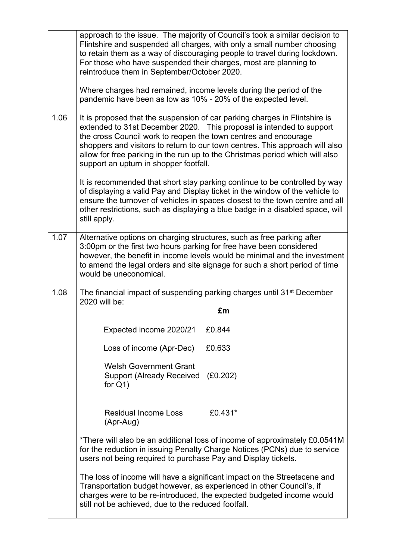|      | approach to the issue. The majority of Council's took a similar decision to<br>Flintshire and suspended all charges, with only a small number choosing<br>to retain them as a way of discouraging people to travel during lockdown.<br>For those who have suspended their charges, most are planning to<br>reintroduce them in September/October 2020.                                                                          |
|------|---------------------------------------------------------------------------------------------------------------------------------------------------------------------------------------------------------------------------------------------------------------------------------------------------------------------------------------------------------------------------------------------------------------------------------|
|      | Where charges had remained, income levels during the period of the<br>pandemic have been as low as 10% - 20% of the expected level.                                                                                                                                                                                                                                                                                             |
| 1.06 | It is proposed that the suspension of car parking charges in Flintshire is<br>extended to 31st December 2020. This proposal is intended to support<br>the cross Council work to reopen the town centres and encourage<br>shoppers and visitors to return to our town centres. This approach will also<br>allow for free parking in the run up to the Christmas period which will also<br>support an upturn in shopper footfall. |
|      | It is recommended that short stay parking continue to be controlled by way<br>of displaying a valid Pay and Display ticket in the window of the vehicle to<br>ensure the turnover of vehicles in spaces closest to the town centre and all<br>other restrictions, such as displaying a blue badge in a disabled space, will<br>still apply.                                                                                     |
| 1.07 | Alternative options on charging structures, such as free parking after<br>3:00pm or the first two hours parking for free have been considered<br>however, the benefit in income levels would be minimal and the investment<br>to amend the legal orders and site signage for such a short period of time<br>would be uneconomical.                                                                                              |
| 1.08 | The financial impact of suspending parking charges until 31 <sup>st</sup> December<br>2020 will be:                                                                                                                                                                                                                                                                                                                             |
|      | £m                                                                                                                                                                                                                                                                                                                                                                                                                              |
|      | Expected income 2020/21<br>£0.844                                                                                                                                                                                                                                                                                                                                                                                               |
|      | £0.633<br>Loss of income (Apr-Dec)                                                                                                                                                                                                                                                                                                                                                                                              |
|      | <b>Welsh Government Grant</b><br>Support (Already Received (£0.202)<br>for $Q_1$ )                                                                                                                                                                                                                                                                                                                                              |
|      | £0.431*<br><b>Residual Income Loss</b><br>(Apr-Aug)                                                                                                                                                                                                                                                                                                                                                                             |
|      | *There will also be an additional loss of income of approximately £0.0541M<br>for the reduction in issuing Penalty Charge Notices (PCNs) due to service<br>users not being required to purchase Pay and Display tickets.                                                                                                                                                                                                        |
|      | The loss of income will have a significant impact on the Streetscene and<br>Transportation budget however, as experienced in other Council's, if<br>charges were to be re-introduced, the expected budgeted income would<br>still not be achieved, due to the reduced footfall.                                                                                                                                                 |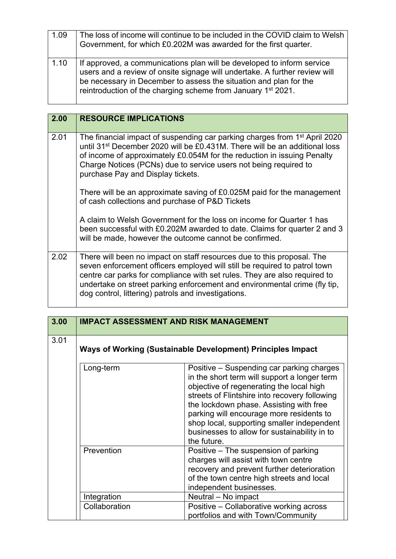| 1.09 | The loss of income will continue to be included in the COVID claim to Welsh<br>Government, for which £0.202M was awarded for the first quarter.                                                                                                                                                       |
|------|-------------------------------------------------------------------------------------------------------------------------------------------------------------------------------------------------------------------------------------------------------------------------------------------------------|
| 1.10 | If approved, a communications plan will be developed to inform service<br>users and a review of onsite signage will undertake. A further review will<br>be necessary in December to assess the situation and plan for the<br>reintroduction of the charging scheme from January 1 <sup>st</sup> 2021. |

| 2.00 | <b>RESOURCE IMPLICATIONS</b>                                                                                                                                                                                                                                                                                                                                         |
|------|----------------------------------------------------------------------------------------------------------------------------------------------------------------------------------------------------------------------------------------------------------------------------------------------------------------------------------------------------------------------|
| 2.01 | The financial impact of suspending car parking charges from 1 <sup>st</sup> April 2020<br>until 31 <sup>st</sup> December 2020 will be £0.431M. There will be an additional loss<br>of income of approximately £0.054M for the reduction in issuing Penalty<br>Charge Notices (PCNs) due to service users not being required to<br>purchase Pay and Display tickets. |
|      | There will be an approximate saving of £0.025M paid for the management<br>of cash collections and purchase of P&D Tickets                                                                                                                                                                                                                                            |
|      | A claim to Welsh Government for the loss on income for Quarter 1 has<br>been successful with £0.202M awarded to date. Claims for quarter 2 and 3<br>will be made, however the outcome cannot be confirmed.                                                                                                                                                           |
| 2.02 | There will been no impact on staff resources due to this proposal. The<br>seven enforcement officers employed will still be required to patrol town<br>centre car parks for compliance with set rules. They are also required to<br>undertake on street parking enforcement and environmental crime (fly tip,<br>dog control, littering) patrols and investigations. |

| 3.00 | <b>IMPACT ASSESSMENT AND RISK MANAGEMENT</b>                |                                                                                                                                                                                                                                                                                                                                                                                            |
|------|-------------------------------------------------------------|--------------------------------------------------------------------------------------------------------------------------------------------------------------------------------------------------------------------------------------------------------------------------------------------------------------------------------------------------------------------------------------------|
| 3.01 | Ways of Working (Sustainable Development) Principles Impact |                                                                                                                                                                                                                                                                                                                                                                                            |
|      | Long-term                                                   | Positive – Suspending car parking charges<br>in the short term will support a longer term<br>objective of regenerating the local high<br>streets of Flintshire into recovery following<br>the lockdown phase. Assisting with free<br>parking will encourage more residents to<br>shop local, supporting smaller independent<br>businesses to allow for sustainability in to<br>the future. |
|      | Prevention                                                  | Positive – The suspension of parking<br>charges will assist with town centre<br>recovery and prevent further deterioration<br>of the town centre high streets and local<br>independent businesses.                                                                                                                                                                                         |
|      | Integration                                                 | Neutral - No impact                                                                                                                                                                                                                                                                                                                                                                        |
|      | Collaboration                                               | Positive – Collaborative working across<br>portfolios and with Town/Community                                                                                                                                                                                                                                                                                                              |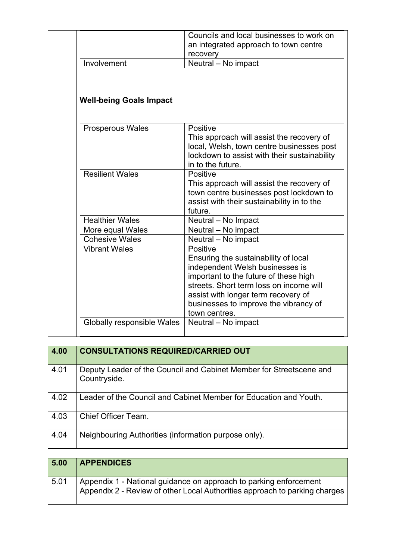|                                | Councils and local businesses to work on                                                                                                                                                                                                                                 |
|--------------------------------|--------------------------------------------------------------------------------------------------------------------------------------------------------------------------------------------------------------------------------------------------------------------------|
|                                | an integrated approach to town centre                                                                                                                                                                                                                                    |
|                                | recovery                                                                                                                                                                                                                                                                 |
| Involvement                    | Neutral - No impact                                                                                                                                                                                                                                                      |
| <b>Well-being Goals Impact</b> |                                                                                                                                                                                                                                                                          |
| <b>Prosperous Wales</b>        | Positive                                                                                                                                                                                                                                                                 |
|                                | This approach will assist the recovery of<br>local, Welsh, town centre businesses post<br>lockdown to assist with their sustainability<br>in to the future.                                                                                                              |
| <b>Resilient Wales</b>         | Positive<br>This approach will assist the recovery of<br>town centre businesses post lockdown to<br>assist with their sustainability in to the<br>future.                                                                                                                |
| <b>Healthier Wales</b>         | Neutral - No Impact                                                                                                                                                                                                                                                      |
| More equal Wales               | Neutral - No impact                                                                                                                                                                                                                                                      |
| <b>Cohesive Wales</b>          | Neutral - No impact                                                                                                                                                                                                                                                      |
| <b>Vibrant Wales</b>           | Positive<br>Ensuring the sustainability of local<br>independent Welsh businesses is<br>important to the future of these high<br>streets. Short term loss on income will<br>assist with longer term recovery of<br>businesses to improve the vibrancy of<br>town centres. |
| Globally responsible Wales     | Neutral - No impact                                                                                                                                                                                                                                                      |
|                                |                                                                                                                                                                                                                                                                          |

| 4.00 | <b>CONSULTATIONS REQUIRED/CARRIED OUT</b>                                           |
|------|-------------------------------------------------------------------------------------|
| 4.01 | Deputy Leader of the Council and Cabinet Member for Streetscene and<br>Countryside. |
| 4.02 | Leader of the Council and Cabinet Member for Education and Youth.                   |
| 4.03 | Chief Officer Team.                                                                 |
| 4.04 | Neighbouring Authorities (information purpose only).                                |

| 5.00 | <b>APPENDICES</b>                                                                                                                               |
|------|-------------------------------------------------------------------------------------------------------------------------------------------------|
| 5.01 | Appendix 1 - National guidance on approach to parking enforcement<br>Appendix 2 - Review of other Local Authorities approach to parking charges |